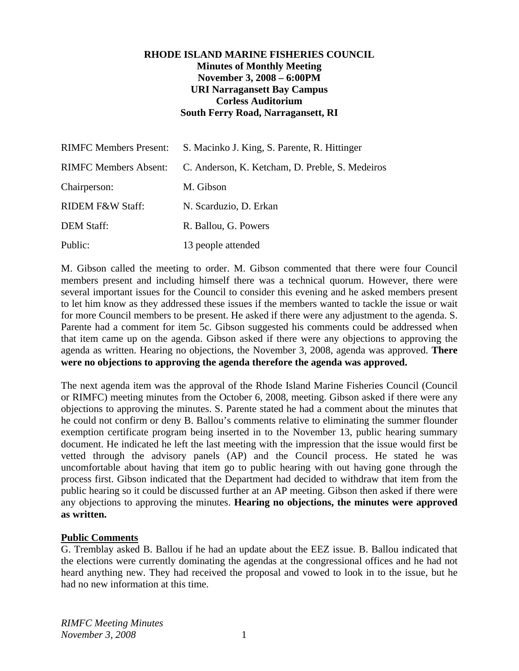# **RHODE ISLAND MARINE FISHERIES COUNCIL Minutes of Monthly Meeting November 3, 2008 – 6:00PM URI Narragansett Bay Campus Corless Auditorium South Ferry Road, Narragansett, RI**

| <b>RIMFC Members Present:</b> | S. Macinko J. King, S. Parente, R. Hittinger    |
|-------------------------------|-------------------------------------------------|
| <b>RIMFC Members Absent:</b>  | C. Anderson, K. Ketcham, D. Preble, S. Medeiros |
| Chairperson:                  | M. Gibson                                       |
| <b>RIDEM F&amp;W Staff:</b>   | N. Scarduzio, D. Erkan                          |
| <b>DEM Staff:</b>             | R. Ballou, G. Powers                            |
| Public:                       | 13 people attended                              |

M. Gibson called the meeting to order. M. Gibson commented that there were four Council members present and including himself there was a technical quorum. However, there were several important issues for the Council to consider this evening and he asked members present to let him know as they addressed these issues if the members wanted to tackle the issue or wait for more Council members to be present. He asked if there were any adjustment to the agenda. S. Parente had a comment for item 5c. Gibson suggested his comments could be addressed when that item came up on the agenda. Gibson asked if there were any objections to approving the agenda as written. Hearing no objections, the November 3, 2008, agenda was approved. **There were no objections to approving the agenda therefore the agenda was approved.**

The next agenda item was the approval of the Rhode Island Marine Fisheries Council (Council or RIMFC) meeting minutes from the October 6, 2008, meeting. Gibson asked if there were any objections to approving the minutes. S. Parente stated he had a comment about the minutes that he could not confirm or deny B. Ballou's comments relative to eliminating the summer flounder exemption certificate program being inserted in to the November 13, public hearing summary document. He indicated he left the last meeting with the impression that the issue would first be vetted through the advisory panels (AP) and the Council process. He stated he was uncomfortable about having that item go to public hearing with out having gone through the process first. Gibson indicated that the Department had decided to withdraw that item from the public hearing so it could be discussed further at an AP meeting. Gibson then asked if there were any objections to approving the minutes. **Hearing no objections, the minutes were approved as written.** 

#### **Public Comments**

G. Tremblay asked B. Ballou if he had an update about the EEZ issue. B. Ballou indicated that the elections were currently dominating the agendas at the congressional offices and he had not heard anything new. They had received the proposal and vowed to look in to the issue, but he had no new information at this time.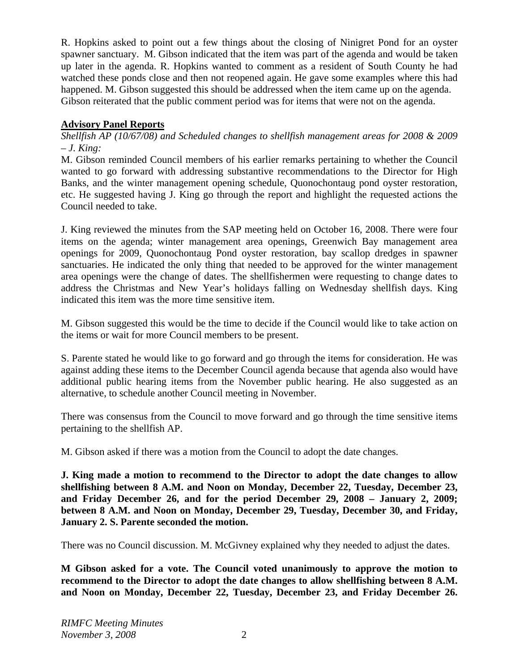R. Hopkins asked to point out a few things about the closing of Ninigret Pond for an oyster spawner sanctuary. M. Gibson indicated that the item was part of the agenda and would be taken up later in the agenda. R. Hopkins wanted to comment as a resident of South County he had watched these ponds close and then not reopened again. He gave some examples where this had happened. M. Gibson suggested this should be addressed when the item came up on the agenda. Gibson reiterated that the public comment period was for items that were not on the agenda.

# **Advisory Panel Reports**

*Shellfish AP (10/67/08) and Scheduled changes to shellfish management areas for 2008 & 2009 – J. King:*

M. Gibson reminded Council members of his earlier remarks pertaining to whether the Council wanted to go forward with addressing substantive recommendations to the Director for High Banks, and the winter management opening schedule, Quonochontaug pond oyster restoration, etc. He suggested having J. King go through the report and highlight the requested actions the Council needed to take.

J. King reviewed the minutes from the SAP meeting held on October 16, 2008. There were four items on the agenda; winter management area openings, Greenwich Bay management area openings for 2009, Quonochontaug Pond oyster restoration, bay scallop dredges in spawner sanctuaries. He indicated the only thing that needed to be approved for the winter management area openings were the change of dates. The shellfishermen were requesting to change dates to address the Christmas and New Year's holidays falling on Wednesday shellfish days. King indicated this item was the more time sensitive item.

M. Gibson suggested this would be the time to decide if the Council would like to take action on the items or wait for more Council members to be present.

S. Parente stated he would like to go forward and go through the items for consideration. He was against adding these items to the December Council agenda because that agenda also would have additional public hearing items from the November public hearing. He also suggested as an alternative, to schedule another Council meeting in November.

There was consensus from the Council to move forward and go through the time sensitive items pertaining to the shellfish AP.

M. Gibson asked if there was a motion from the Council to adopt the date changes.

**J. King made a motion to recommend to the Director to adopt the date changes to allow shellfishing between 8 A.M. and Noon on Monday, December 22, Tuesday, December 23, and Friday December 26, and for the period December 29, 2008 – January 2, 2009; between 8 A.M. and Noon on Monday, December 29, Tuesday, December 30, and Friday, January 2. S. Parente seconded the motion.** 

There was no Council discussion. M. McGivney explained why they needed to adjust the dates.

**M Gibson asked for a vote. The Council voted unanimously to approve the motion to recommend to the Director to adopt the date changes to allow shellfishing between 8 A.M. and Noon on Monday, December 22, Tuesday, December 23, and Friday December 26.**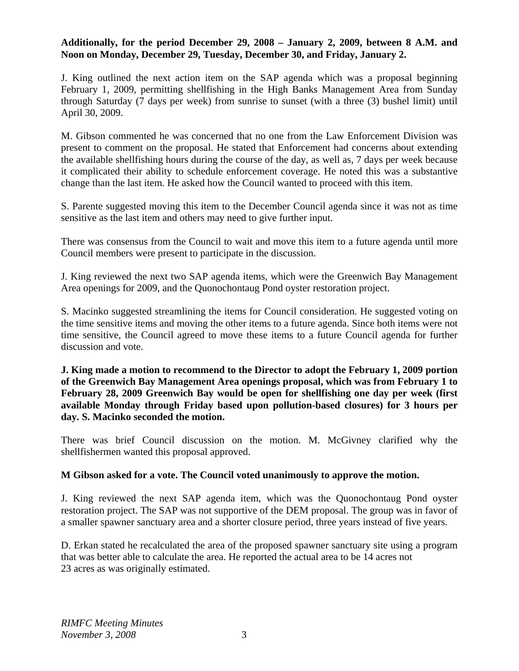### **Additionally, for the period December 29, 2008 – January 2, 2009, between 8 A.M. and Noon on Monday, December 29, Tuesday, December 30, and Friday, January 2.**

J. King outlined the next action item on the SAP agenda which was a proposal beginning February 1, 2009, permitting shellfishing in the High Banks Management Area from Sunday through Saturday (7 days per week) from sunrise to sunset (with a three (3) bushel limit) until April 30, 2009.

M. Gibson commented he was concerned that no one from the Law Enforcement Division was present to comment on the proposal. He stated that Enforcement had concerns about extending the available shellfishing hours during the course of the day, as well as, 7 days per week because it complicated their ability to schedule enforcement coverage. He noted this was a substantive change than the last item. He asked how the Council wanted to proceed with this item.

S. Parente suggested moving this item to the December Council agenda since it was not as time sensitive as the last item and others may need to give further input.

There was consensus from the Council to wait and move this item to a future agenda until more Council members were present to participate in the discussion.

J. King reviewed the next two SAP agenda items, which were the Greenwich Bay Management Area openings for 2009, and the Quonochontaug Pond oyster restoration project.

S. Macinko suggested streamlining the items for Council consideration. He suggested voting on the time sensitive items and moving the other items to a future agenda. Since both items were not time sensitive, the Council agreed to move these items to a future Council agenda for further discussion and vote.

**J. King made a motion to recommend to the Director to adopt the February 1, 2009 portion of the Greenwich Bay Management Area openings proposal, which was from February 1 to February 28, 2009 Greenwich Bay would be open for shellfishing one day per week (first available Monday through Friday based upon pollution-based closures) for 3 hours per day. S. Macinko seconded the motion.** 

There was brief Council discussion on the motion. M. McGivney clarified why the shellfishermen wanted this proposal approved.

# **M Gibson asked for a vote. The Council voted unanimously to approve the motion.**

J. King reviewed the next SAP agenda item, which was the Quonochontaug Pond oyster restoration project. The SAP was not supportive of the DEM proposal. The group was in favor of a smaller spawner sanctuary area and a shorter closure period, three years instead of five years.

D. Erkan stated he recalculated the area of the proposed spawner sanctuary site using a program that was better able to calculate the area. He reported the actual area to be 14 acres not 23 acres as was originally estimated.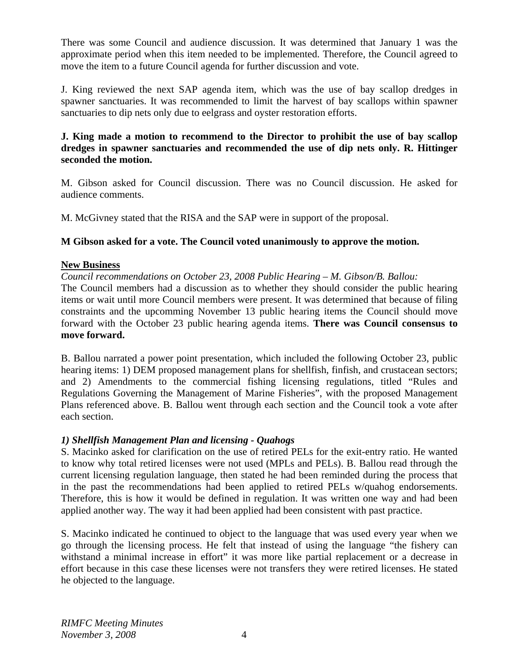There was some Council and audience discussion. It was determined that January 1 was the approximate period when this item needed to be implemented. Therefore, the Council agreed to move the item to a future Council agenda for further discussion and vote.

J. King reviewed the next SAP agenda item, which was the use of bay scallop dredges in spawner sanctuaries. It was recommended to limit the harvest of bay scallops within spawner sanctuaries to dip nets only due to eelgrass and oyster restoration efforts.

# **J. King made a motion to recommend to the Director to prohibit the use of bay scallop dredges in spawner sanctuaries and recommended the use of dip nets only. R. Hittinger seconded the motion.**

M. Gibson asked for Council discussion. There was no Council discussion. He asked for audience comments.

M. McGivney stated that the RISA and the SAP were in support of the proposal.

# **M Gibson asked for a vote. The Council voted unanimously to approve the motion.**

# **New Business**

*Council recommendations on October 23, 2008 Public Hearing – M. Gibson/B. Ballou:*

The Council members had a discussion as to whether they should consider the public hearing items or wait until more Council members were present. It was determined that because of filing constraints and the upcomming November 13 public hearing items the Council should move forward with the October 23 public hearing agenda items. **There was Council consensus to move forward.** 

B. Ballou narrated a power point presentation, which included the following October 23, public hearing items: 1) DEM proposed management plans for shellfish, finfish, and crustacean sectors; and 2) Amendments to the commercial fishing licensing regulations, titled "Rules and Regulations Governing the Management of Marine Fisheries", with the proposed Management Plans referenced above. B. Ballou went through each section and the Council took a vote after each section.

# *1) Shellfish Management Plan and licensing - Quahogs*

S. Macinko asked for clarification on the use of retired PELs for the exit-entry ratio. He wanted to know why total retired licenses were not used (MPLs and PELs). B. Ballou read through the current licensing regulation language, then stated he had been reminded during the process that in the past the recommendations had been applied to retired PELs w/quahog endorsements. Therefore, this is how it would be defined in regulation. It was written one way and had been applied another way. The way it had been applied had been consistent with past practice.

S. Macinko indicated he continued to object to the language that was used every year when we go through the licensing process. He felt that instead of using the language "the fishery can withstand a minimal increase in effort" it was more like partial replacement or a decrease in effort because in this case these licenses were not transfers they were retired licenses. He stated he objected to the language.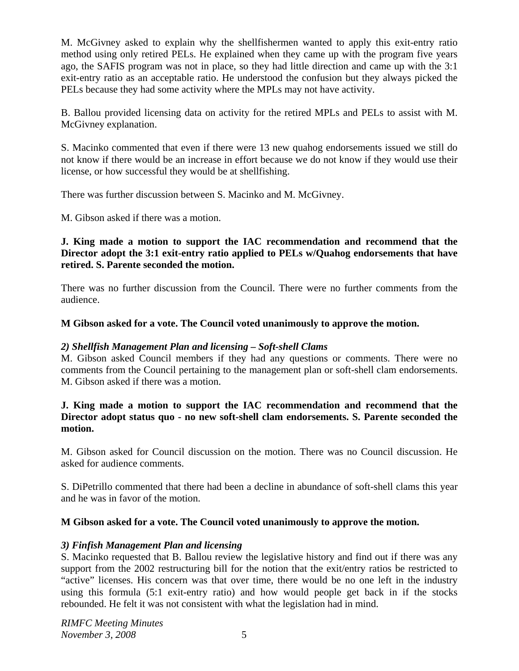M. McGivney asked to explain why the shellfishermen wanted to apply this exit-entry ratio method using only retired PELs. He explained when they came up with the program five years ago, the SAFIS program was not in place, so they had little direction and came up with the 3:1 exit-entry ratio as an acceptable ratio. He understood the confusion but they always picked the PELs because they had some activity where the MPLs may not have activity.

B. Ballou provided licensing data on activity for the retired MPLs and PELs to assist with M. McGivney explanation.

S. Macinko commented that even if there were 13 new quahog endorsements issued we still do not know if there would be an increase in effort because we do not know if they would use their license, or how successful they would be at shellfishing.

There was further discussion between S. Macinko and M. McGivney.

M. Gibson asked if there was a motion.

# **J. King made a motion to support the IAC recommendation and recommend that the Director adopt the 3:1 exit-entry ratio applied to PELs w/Quahog endorsements that have retired. S. Parente seconded the motion.**

There was no further discussion from the Council. There were no further comments from the audience.

# **M Gibson asked for a vote. The Council voted unanimously to approve the motion.**

# *2) Shellfish Management Plan and licensing – Soft-shell Clams*

M. Gibson asked Council members if they had any questions or comments. There were no comments from the Council pertaining to the management plan or soft-shell clam endorsements. M. Gibson asked if there was a motion.

#### **J. King made a motion to support the IAC recommendation and recommend that the Director adopt status quo - no new soft-shell clam endorsements. S. Parente seconded the motion.**

M. Gibson asked for Council discussion on the motion. There was no Council discussion. He asked for audience comments.

S. DiPetrillo commented that there had been a decline in abundance of soft-shell clams this year and he was in favor of the motion.

# **M Gibson asked for a vote. The Council voted unanimously to approve the motion.**

# *3) Finfish Management Plan and licensing*

S. Macinko requested that B. Ballou review the legislative history and find out if there was any support from the 2002 restructuring bill for the notion that the exit/entry ratios be restricted to "active" licenses. His concern was that over time, there would be no one left in the industry using this formula (5:1 exit-entry ratio) and how would people get back in if the stocks rebounded. He felt it was not consistent with what the legislation had in mind.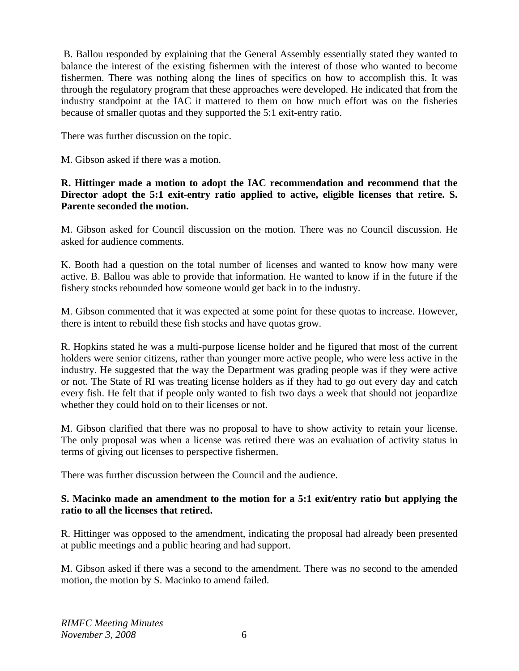B. Ballou responded by explaining that the General Assembly essentially stated they wanted to balance the interest of the existing fishermen with the interest of those who wanted to become fishermen. There was nothing along the lines of specifics on how to accomplish this. It was through the regulatory program that these approaches were developed. He indicated that from the industry standpoint at the IAC it mattered to them on how much effort was on the fisheries because of smaller quotas and they supported the 5:1 exit-entry ratio.

There was further discussion on the topic.

M. Gibson asked if there was a motion.

# **R. Hittinger made a motion to adopt the IAC recommendation and recommend that the Director adopt the 5:1 exit-entry ratio applied to active, eligible licenses that retire. S. Parente seconded the motion.**

M. Gibson asked for Council discussion on the motion. There was no Council discussion. He asked for audience comments.

K. Booth had a question on the total number of licenses and wanted to know how many were active. B. Ballou was able to provide that information. He wanted to know if in the future if the fishery stocks rebounded how someone would get back in to the industry.

M. Gibson commented that it was expected at some point for these quotas to increase. However, there is intent to rebuild these fish stocks and have quotas grow.

R. Hopkins stated he was a multi-purpose license holder and he figured that most of the current holders were senior citizens, rather than younger more active people, who were less active in the industry. He suggested that the way the Department was grading people was if they were active or not. The State of RI was treating license holders as if they had to go out every day and catch every fish. He felt that if people only wanted to fish two days a week that should not jeopardize whether they could hold on to their licenses or not.

M. Gibson clarified that there was no proposal to have to show activity to retain your license. The only proposal was when a license was retired there was an evaluation of activity status in terms of giving out licenses to perspective fishermen.

There was further discussion between the Council and the audience.

# **S. Macinko made an amendment to the motion for a 5:1 exit/entry ratio but applying the ratio to all the licenses that retired.**

R. Hittinger was opposed to the amendment, indicating the proposal had already been presented at public meetings and a public hearing and had support.

M. Gibson asked if there was a second to the amendment. There was no second to the amended motion, the motion by S. Macinko to amend failed.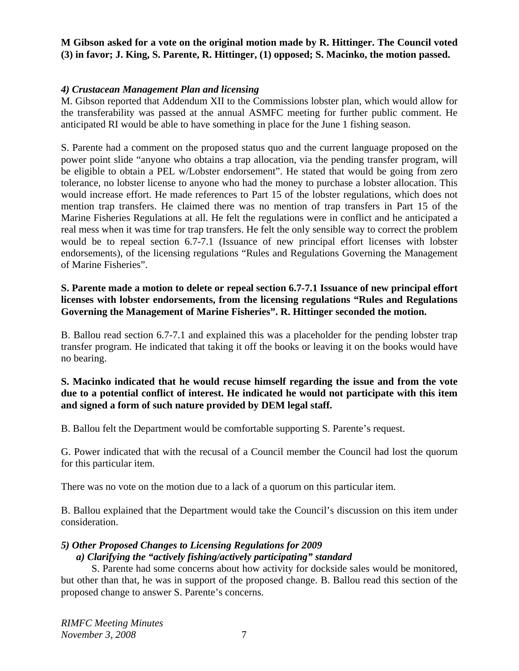# **M Gibson asked for a vote on the original motion made by R. Hittinger. The Council voted (3) in favor; J. King, S. Parente, R. Hittinger, (1) opposed; S. Macinko, the motion passed.**

#### *4) Crustacean Management Plan and licensing*

M. Gibson reported that Addendum XII to the Commissions lobster plan, which would allow for the transferability was passed at the annual ASMFC meeting for further public comment. He anticipated RI would be able to have something in place for the June 1 fishing season.

S. Parente had a comment on the proposed status quo and the current language proposed on the power point slide "anyone who obtains a trap allocation, via the pending transfer program, will be eligible to obtain a PEL w/Lobster endorsement". He stated that would be going from zero tolerance, no lobster license to anyone who had the money to purchase a lobster allocation. This would increase effort. He made references to Part 15 of the lobster regulations, which does not mention trap transfers. He claimed there was no mention of trap transfers in Part 15 of the Marine Fisheries Regulations at all. He felt the regulations were in conflict and he anticipated a real mess when it was time for trap transfers. He felt the only sensible way to correct the problem would be to repeal section 6.7-7.1 (Issuance of new principal effort licenses with lobster endorsements), of the licensing regulations "Rules and Regulations Governing the Management of Marine Fisheries".

### **S. Parente made a motion to delete or repeal section 6.7-7.1 Issuance of new principal effort licenses with lobster endorsements, from the licensing regulations "Rules and Regulations Governing the Management of Marine Fisheries". R. Hittinger seconded the motion.**

B. Ballou read section 6.7-7.1 and explained this was a placeholder for the pending lobster trap transfer program. He indicated that taking it off the books or leaving it on the books would have no bearing.

# **S. Macinko indicated that he would recuse himself regarding the issue and from the vote due to a potential conflict of interest. He indicated he would not participate with this item and signed a form of such nature provided by DEM legal staff.**

B. Ballou felt the Department would be comfortable supporting S. Parente's request.

G. Power indicated that with the recusal of a Council member the Council had lost the quorum for this particular item.

There was no vote on the motion due to a lack of a quorum on this particular item.

B. Ballou explained that the Department would take the Council's discussion on this item under consideration.

# *5) Other Proposed Changes to Licensing Regulations for 2009*

#### *a) Clarifying the "actively fishing/actively participating" standard*

 S. Parente had some concerns about how activity for dockside sales would be monitored, but other than that, he was in support of the proposed change. B. Ballou read this section of the proposed change to answer S. Parente's concerns.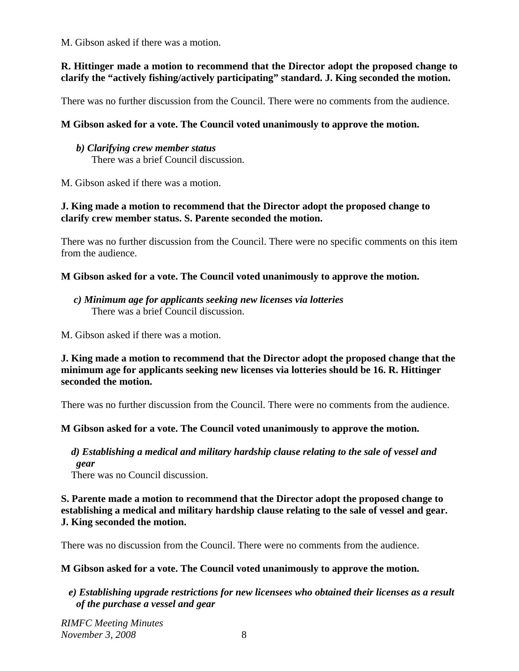M. Gibson asked if there was a motion.

# **R. Hittinger made a motion to recommend that the Director adopt the proposed change to clarify the "actively fishing/actively participating" standard. J. King seconded the motion.**

There was no further discussion from the Council. There were no comments from the audience.

# **M Gibson asked for a vote. The Council voted unanimously to approve the motion.**

*b) Clarifying crew member status* There was a brief Council discussion.

M. Gibson asked if there was a motion.

# **J. King made a motion to recommend that the Director adopt the proposed change to clarify crew member status. S. Parente seconded the motion.**

There was no further discussion from the Council. There were no specific comments on this item from the audience.

# **M Gibson asked for a vote. The Council voted unanimously to approve the motion.**

# *c) Minimum age for applicants seeking new licenses via lotteries*  There was a brief Council discussion.

M. Gibson asked if there was a motion.

# **J. King made a motion to recommend that the Director adopt the proposed change that the minimum age for applicants seeking new licenses via lotteries should be 16. R. Hittinger seconded the motion.**

There was no further discussion from the Council. There were no comments from the audience.

# **M Gibson asked for a vote. The Council voted unanimously to approve the motion.**

#### *d) Establishing a medical and military hardship clause relating to the sale of vessel and gear*

There was no Council discussion.

# **S. Parente made a motion to recommend that the Director adopt the proposed change to establishing a medical and military hardship clause relating to the sale of vessel and gear. J. King seconded the motion.**

There was no discussion from the Council. There were no comments from the audience.

# **M Gibson asked for a vote. The Council voted unanimously to approve the motion.**

# *e) Establishing upgrade restrictions for new licensees who obtained their licenses as a result of the purchase a vessel and gear*

*RIMFC Meeting Minutes November 3, 2008* 8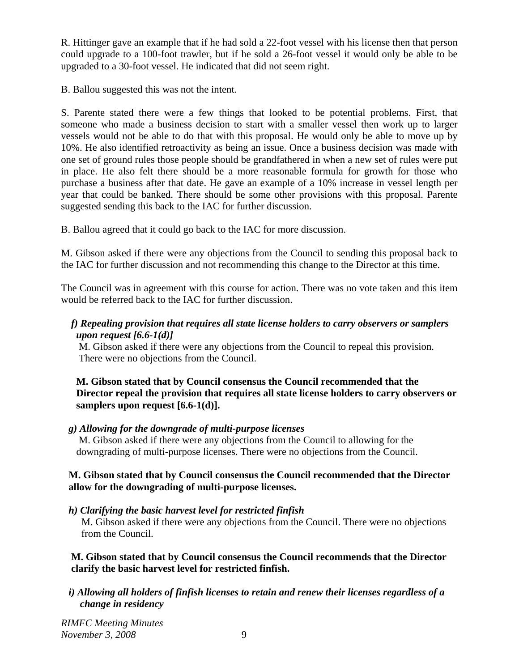R. Hittinger gave an example that if he had sold a 22-foot vessel with his license then that person could upgrade to a 100-foot trawler, but if he sold a 26-foot vessel it would only be able to be upgraded to a 30-foot vessel. He indicated that did not seem right.

B. Ballou suggested this was not the intent.

S. Parente stated there were a few things that looked to be potential problems. First, that someone who made a business decision to start with a smaller vessel then work up to larger vessels would not be able to do that with this proposal. He would only be able to move up by 10%. He also identified retroactivity as being an issue. Once a business decision was made with one set of ground rules those people should be grandfathered in when a new set of rules were put in place. He also felt there should be a more reasonable formula for growth for those who purchase a business after that date. He gave an example of a 10% increase in vessel length per year that could be banked. There should be some other provisions with this proposal. Parente suggested sending this back to the IAC for further discussion.

B. Ballou agreed that it could go back to the IAC for more discussion.

M. Gibson asked if there were any objections from the Council to sending this proposal back to the IAC for further discussion and not recommending this change to the Director at this time.

The Council was in agreement with this course for action. There was no vote taken and this item would be referred back to the IAC for further discussion.

# *f) Repealing provision that requires all state license holders to carry observers or samplers upon request [6.6-1(d)]*

 M. Gibson asked if there were any objections from the Council to repeal this provision. There were no objections from the Council.

# **M. Gibson stated that by Council consensus the Council recommended that the Director repeal the provision that requires all state license holders to carry observers or samplers upon request [6.6-1(d)].**

# *g) Allowing for the downgrade of multi-purpose licenses*

 M. Gibson asked if there were any objections from the Council to allowing for the downgrading of multi-purpose licenses. There were no objections from the Council.

# **M. Gibson stated that by Council consensus the Council recommended that the Director allow for the downgrading of multi-purpose licenses.**

 *h) Clarifying the basic harvest level for restricted finfish*

 M. Gibson asked if there were any objections from the Council. There were no objections from the Council.

# **M. Gibson stated that by Council consensus the Council recommends that the Director clarify the basic harvest level for restricted finfish.**

*i) Allowing all holders of finfish licenses to retain and renew their licenses regardless of a change in residency*

*RIMFC Meeting Minutes November 3, 2008* 9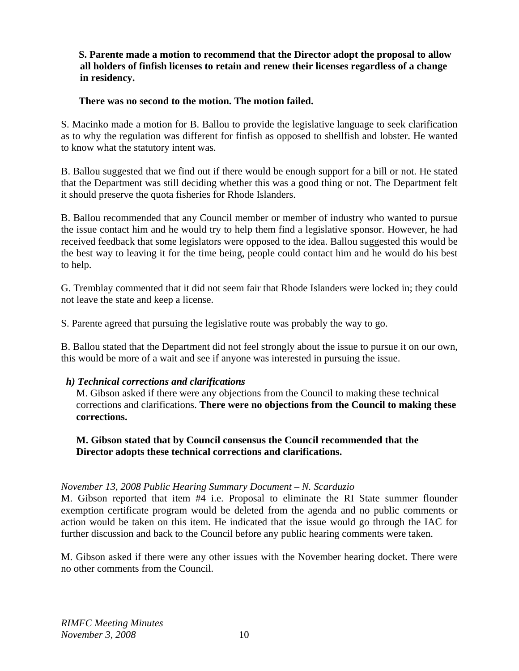# **S. Parente made a motion to recommend that the Director adopt the proposal to allow all holders of finfish licenses to retain and renew their licenses regardless of a change in residency.**

### **There was no second to the motion. The motion failed.**

S. Macinko made a motion for B. Ballou to provide the legislative language to seek clarification as to why the regulation was different for finfish as opposed to shellfish and lobster. He wanted to know what the statutory intent was.

B. Ballou suggested that we find out if there would be enough support for a bill or not. He stated that the Department was still deciding whether this was a good thing or not. The Department felt it should preserve the quota fisheries for Rhode Islanders.

B. Ballou recommended that any Council member or member of industry who wanted to pursue the issue contact him and he would try to help them find a legislative sponsor. However, he had received feedback that some legislators were opposed to the idea. Ballou suggested this would be the best way to leaving it for the time being, people could contact him and he would do his best to help.

G. Tremblay commented that it did not seem fair that Rhode Islanders were locked in; they could not leave the state and keep a license.

S. Parente agreed that pursuing the legislative route was probably the way to go.

B. Ballou stated that the Department did not feel strongly about the issue to pursue it on our own, this would be more of a wait and see if anyone was interested in pursuing the issue.

# *h) Technical corrections and clarifications*

 M. Gibson asked if there were any objections from the Council to making these technical corrections and clarifications. **There were no objections from the Council to making these corrections.** 

#### **M. Gibson stated that by Council consensus the Council recommended that the Director adopts these technical corrections and clarifications.**

# *November 13, 2008 Public Hearing Summary Document – N. Scarduzio*

M. Gibson reported that item #4 i.e. Proposal to eliminate the RI State summer flounder exemption certificate program would be deleted from the agenda and no public comments or action would be taken on this item. He indicated that the issue would go through the IAC for further discussion and back to the Council before any public hearing comments were taken.

M. Gibson asked if there were any other issues with the November hearing docket. There were no other comments from the Council.